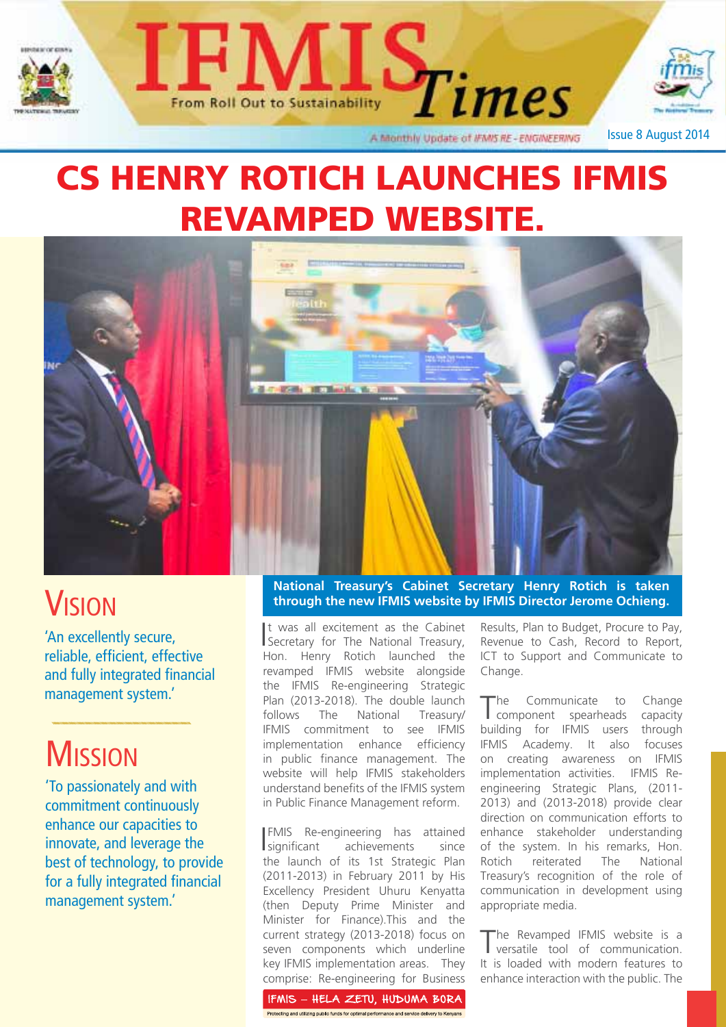





A Monthly Update of IFMIS RE - ENGINEERING

Issue 8 August 2014

# CS HENRY ROTICH LAUNCHES IFMIS REVAMPED WEBSITE.



## **VISION**

'An excellently secure, reliable, efficient, effective and fully integrated financial management system.'

# **MISSION**

'To passionately and with commitment continuously enhance our capacities to innovate, and leverage the best of technology, to provide for a fully integrated financial management system.'

#### **National Treasury's Cabinet Secretary Henry Rotich is taken through the new IFMIS website by IFMIS Director Jerome Ochieng.**

I Secretary for The National Treasury, t was all excitement as the Cabinet Hon. Henry Rotich launched the revamped IFMIS website alongside the IFMIS Re-engineering Strategic Plan (2013-2018). The double launch follows The National Treasury/ IFMIS commitment to see IFMIS implementation enhance efficiency in public finance management. The website will help IFMIS stakeholders understand benefits of the IFMIS system in Public Finance Management reform.

I FMIS Re-engineering has attained significant achievements since the launch of its 1st Strategic Plan (2011-2013) in February 2011 by His Excellency President Uhuru Kenyatta (then Deputy Prime Minister and Minister for Finance).This and the current strategy (2013-2018) focus on seven components which underline key IFMIS implementation areas. They comprise: Re-engineering for Business

Results, Plan to Budget, Procure to Pay, Revenue to Cash, Record to Report, ICT to Support and Communicate to Change.

The Communicate to Change<br>
component spearheads capacity building for IFMIS users through<br>IFMIS Academy, It also focuses IFMIS Academy. It also on creating awareness on IFMIS implementation activities. IFMIS Reengineering Strategic Plans, (2011- 2013) and (2013-2018) provide clear direction on communication efforts to enhance stakeholder understanding of the system. In his remarks, Hon. Rotich reiterated The National Treasury's recognition of the role of communication in development using appropriate media.

The Revamped IFMIS website is a versatile tool of communication. It is loaded with modern features to enhance interaction with the public. The

IFMIS - HELA ZETU, HUDUMA BORA rotecting and utilizing public funds for optimal performance and service delivery to Kenyani